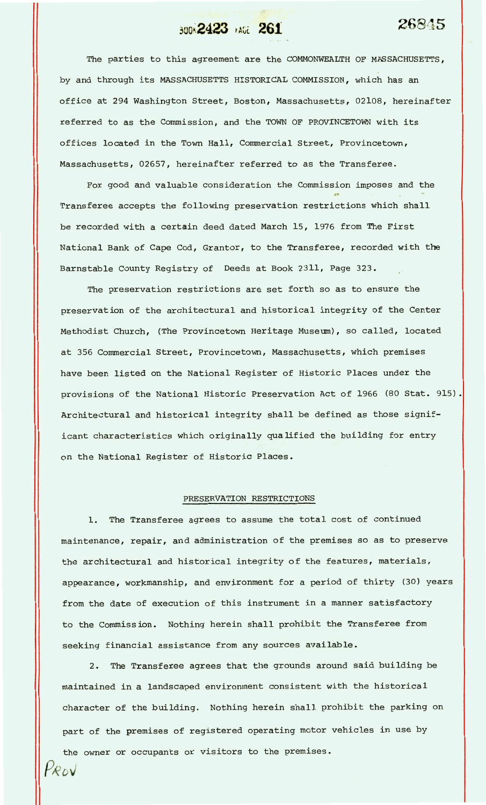## **BOOK 2423** *page 261* **26845**

The parties to this agreement are the COMMONWEALTH OF MASSACHUSETTS, by and through its MASSACHUSETTS HISTORICAL COMMISSION, which has an office at 294 Washington Street, Boston, Massachusetts, 02108, hereinafter referred to as the Commission, and the TOWN OF PROVINCETOWN with its offices located in the Town Hall, Commercial Street, Provincetown, Massachusetts, 02657, hereinafter referred to as the Transferee.

For good and valuable consideration the Commission imposes and the Transferee accepts the following preservation restrictions which shall be recorded with a certain deed dated March 15, 1976 from The First National Bank of Cape Cod, Grantor, to the Transferee, recorded with the Barnstable County Registry of Deeds at Book 2311, Page 323.

The preservation restrictions are set forth so as to ensure the preservation of the architectural and historical integrity of the Center Methodist Church, (The Provincetown Heritage Museum), so called, located at 356 Commercial Street, Provincetown, Massachusetts, which premises have been listed on the National Register of Historic Places under the provisions of the National Historic Preservation Act of 1966 (80 Stat. 915). Architectural and historical integrity shall be defined as those significant characteristics which originally qualified the building for entry on the National Register of Historic Places.

## PRESERVATION RESTRICTIONS

1. The Transferee agrees to assume the total cost of continued maintenance, repair, and administration of the premises so as to preserve the architectural and historical integrity of the features, materials, appearance, workmanship, and environment for a period of thirty **(30)** years from the date of execution of this instrument in a manner satisfactory to the Commission. Nothing herein shall prohibit the Transferee from seeking financial assistance from any sources available.

2. The Transferee agrees that the grounds around said building be maintained in a landscaped environment consistent with the historical character of the building. Nothing herein shall prohibit the parking on part of the premises of registered operating motor vehicles in use by the owner or occupants or visitors to the premises.